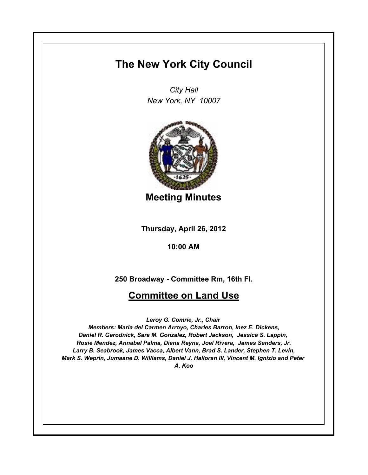# **The New York City Council**

*City Hall New York, NY 10007*



**Meeting Minutes**

**Thursday, April 26, 2012**

**10:00 AM**

**250 Broadway - Committee Rm, 16th Fl.**

# **Committee on Land Use**

*Leroy G. Comrie, Jr., Chair* 

*Members: Maria del Carmen Arroyo, Charles Barron, Inez E. Dickens, Daniel R. Garodnick, Sara M. Gonzalez, Robert Jackson, Jessica S. Lappin, Rosie Mendez, Annabel Palma, Diana Reyna, Joel Rivera, James Sanders, Jr. Larry B. Seabrook, James Vacca, Albert Vann, Brad S. Lander, Stephen T. Levin, Mark S. Weprin, Jumaane D. Williams, Daniel J. Halloran III, Vincent M. Ignizio and Peter A. Koo*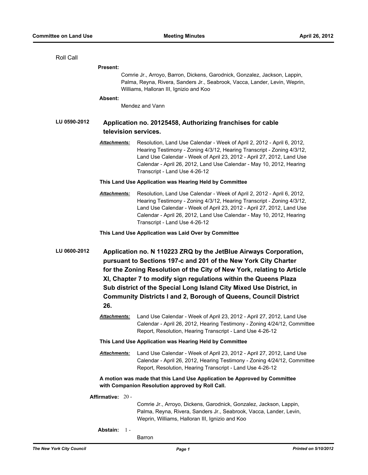| Roll Call                                                                                                                     |                                                                                                                                                                                                                                                                                                                                                          |                                                                                                                                                                                                                                                                                                                                    |
|-------------------------------------------------------------------------------------------------------------------------------|----------------------------------------------------------------------------------------------------------------------------------------------------------------------------------------------------------------------------------------------------------------------------------------------------------------------------------------------------------|------------------------------------------------------------------------------------------------------------------------------------------------------------------------------------------------------------------------------------------------------------------------------------------------------------------------------------|
|                                                                                                                               | <b>Present:</b>                                                                                                                                                                                                                                                                                                                                          |                                                                                                                                                                                                                                                                                                                                    |
|                                                                                                                               |                                                                                                                                                                                                                                                                                                                                                          | Comrie Jr., Arroyo, Barron, Dickens, Garodnick, Gonzalez, Jackson, Lappin,<br>Palma, Reyna, Rivera, Sanders Jr., Seabrook, Vacca, Lander, Levin, Weprin,<br>Williams, Halloran III, Ignizio and Koo                                                                                                                                |
|                                                                                                                               | Absent:                                                                                                                                                                                                                                                                                                                                                  |                                                                                                                                                                                                                                                                                                                                    |
|                                                                                                                               |                                                                                                                                                                                                                                                                                                                                                          | Mendez and Vann                                                                                                                                                                                                                                                                                                                    |
| LU 0590-2012                                                                                                                  | Application no. 20125458, Authorizing franchises for cable<br>television services.                                                                                                                                                                                                                                                                       |                                                                                                                                                                                                                                                                                                                                    |
|                                                                                                                               | <u>Attachments:</u>                                                                                                                                                                                                                                                                                                                                      | Resolution, Land Use Calendar - Week of April 2, 2012 - April 6, 2012,<br>Hearing Testimony - Zoning 4/3/12, Hearing Transcript - Zoning 4/3/12,<br>Land Use Calendar - Week of April 23, 2012 - April 27, 2012, Land Use<br>Calendar - April 26, 2012, Land Use Calendar - May 10, 2012, Hearing<br>Transcript - Land Use 4-26-12 |
|                                                                                                                               | This Land Use Application was Hearing Held by Committee                                                                                                                                                                                                                                                                                                  |                                                                                                                                                                                                                                                                                                                                    |
|                                                                                                                               | Attachments:                                                                                                                                                                                                                                                                                                                                             | Resolution, Land Use Calendar - Week of April 2, 2012 - April 6, 2012,<br>Hearing Testimony - Zoning 4/3/12, Hearing Transcript - Zoning 4/3/12,<br>Land Use Calendar - Week of April 23, 2012 - April 27, 2012, Land Use<br>Calendar - April 26, 2012, Land Use Calendar - May 10, 2012, Hearing<br>Transcript - Land Use 4-26-12 |
|                                                                                                                               |                                                                                                                                                                                                                                                                                                                                                          | This Land Use Application was Laid Over by Committee                                                                                                                                                                                                                                                                               |
|                                                                                                                               |                                                                                                                                                                                                                                                                                                                                                          |                                                                                                                                                                                                                                                                                                                                    |
| LU 0600-2012                                                                                                                  | Application no. N 110223 ZRQ by the JetBlue Airways Corporation,<br>pursuant to Sections 197-c and 201 of the New York City Charter<br>for the Zoning Resolution of the City of New York, relating to Article<br>XI, Chapter 7 to modify sign regulations within the Queens Plaza<br>Sub district of the Special Long Island City Mixed Use District, in |                                                                                                                                                                                                                                                                                                                                    |
| <b>Community Districts I and 2, Borough of Queens, Council District</b>                                                       |                                                                                                                                                                                                                                                                                                                                                          |                                                                                                                                                                                                                                                                                                                                    |
|                                                                                                                               | 26.                                                                                                                                                                                                                                                                                                                                                      |                                                                                                                                                                                                                                                                                                                                    |
|                                                                                                                               | Attachments:                                                                                                                                                                                                                                                                                                                                             | Land Use Calendar - Week of April 23, 2012 - April 27, 2012, Land Use<br>Calendar - April 26, 2012, Hearing Testimony - Zoning 4/24/12, Committee<br>Report, Resolution, Hearing Transcript - Land Use 4-26-12                                                                                                                     |
| This Land Use Application was Hearing Held by Committee                                                                       |                                                                                                                                                                                                                                                                                                                                                          |                                                                                                                                                                                                                                                                                                                                    |
|                                                                                                                               | <u> Attachments:</u>                                                                                                                                                                                                                                                                                                                                     | Land Use Calendar - Week of April 23, 2012 - April 27, 2012, Land Use<br>Calendar - April 26, 2012, Hearing Testimony - Zoning 4/24/12, Committee<br>Report, Resolution, Hearing Transcript - Land Use 4-26-12                                                                                                                     |
| A motion was made that this Land Use Application be Approved by Committee<br>with Companion Resolution approved by Roll Call. |                                                                                                                                                                                                                                                                                                                                                          |                                                                                                                                                                                                                                                                                                                                    |
| Affirmative: 20 -                                                                                                             |                                                                                                                                                                                                                                                                                                                                                          |                                                                                                                                                                                                                                                                                                                                    |
|                                                                                                                               |                                                                                                                                                                                                                                                                                                                                                          | Comrie Jr., Arroyo, Dickens, Garodnick, Gonzalez, Jackson, Lappin,<br>Palma, Reyna, Rivera, Sanders Jr., Seabrook, Vacca, Lander, Levin,<br>Weprin, Williams, Halloran III, Ignizio and Koo                                                                                                                                        |
|                                                                                                                               | Abstain: 1-                                                                                                                                                                                                                                                                                                                                              | Barron                                                                                                                                                                                                                                                                                                                             |